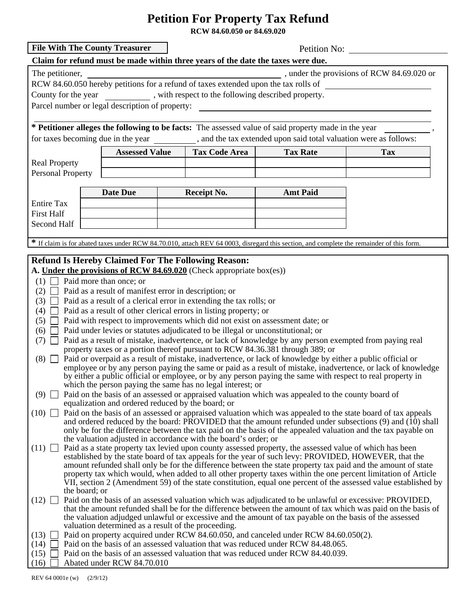## **Petition For Property Tax Refund**

**RCW 84.60.050 or 84.69.020**

| <b>File With The County Treasurer</b><br>Petition No:                                                                                                                                                                                                                                                                                                                                                                                 |                                                                                                                                                                                                                                               |                                                                 |  |                      |                 |                                                                                                                                          |  |  |
|---------------------------------------------------------------------------------------------------------------------------------------------------------------------------------------------------------------------------------------------------------------------------------------------------------------------------------------------------------------------------------------------------------------------------------------|-----------------------------------------------------------------------------------------------------------------------------------------------------------------------------------------------------------------------------------------------|-----------------------------------------------------------------|--|----------------------|-----------------|------------------------------------------------------------------------------------------------------------------------------------------|--|--|
| Claim for refund must be made within three years of the date the taxes were due.                                                                                                                                                                                                                                                                                                                                                      |                                                                                                                                                                                                                                               |                                                                 |  |                      |                 |                                                                                                                                          |  |  |
| $\frac{1}{2}$ , under the provisions of RCW 84.69.020 or<br>The petitioner,<br>RCW 84.60.050 hereby petitions for a refund of taxes extended upon the tax rolls of<br>County for the year _____________, with respect to the following described property.<br>Parcel number or legal description of property:<br><u> 1980 - Jan Stein Stein Stein Stein Stein Stein Stein Stein Stein Stein Stein Stein Stein Stein Stein Stein S</u> |                                                                                                                                                                                                                                               |                                                                 |  |                      |                 |                                                                                                                                          |  |  |
| * Petitioner alleges the following to be facts: The assessed value of said property made in the year                                                                                                                                                                                                                                                                                                                                  |                                                                                                                                                                                                                                               |                                                                 |  |                      |                 |                                                                                                                                          |  |  |
| for taxes becoming due in the year ___________, and the tax extended upon said total valuation were as follows:                                                                                                                                                                                                                                                                                                                       |                                                                                                                                                                                                                                               |                                                                 |  |                      |                 |                                                                                                                                          |  |  |
|                                                                                                                                                                                                                                                                                                                                                                                                                                       |                                                                                                                                                                                                                                               |                                                                 |  |                      |                 |                                                                                                                                          |  |  |
|                                                                                                                                                                                                                                                                                                                                                                                                                                       |                                                                                                                                                                                                                                               | <b>Assessed Value</b>                                           |  | <b>Tax Code Area</b> | <b>Tax Rate</b> | <b>Tax</b>                                                                                                                               |  |  |
| <b>Real Property</b>                                                                                                                                                                                                                                                                                                                                                                                                                  |                                                                                                                                                                                                                                               |                                                                 |  |                      |                 |                                                                                                                                          |  |  |
| <b>Personal Property</b>                                                                                                                                                                                                                                                                                                                                                                                                              |                                                                                                                                                                                                                                               |                                                                 |  |                      |                 |                                                                                                                                          |  |  |
|                                                                                                                                                                                                                                                                                                                                                                                                                                       |                                                                                                                                                                                                                                               | <b>Date Due</b>                                                 |  | <b>Receipt No.</b>   | <b>Amt Paid</b> |                                                                                                                                          |  |  |
| <b>Entire Tax</b>                                                                                                                                                                                                                                                                                                                                                                                                                     |                                                                                                                                                                                                                                               |                                                                 |  |                      |                 |                                                                                                                                          |  |  |
| <b>First Half</b>                                                                                                                                                                                                                                                                                                                                                                                                                     |                                                                                                                                                                                                                                               |                                                                 |  |                      |                 |                                                                                                                                          |  |  |
| Second Half                                                                                                                                                                                                                                                                                                                                                                                                                           |                                                                                                                                                                                                                                               |                                                                 |  |                      |                 |                                                                                                                                          |  |  |
|                                                                                                                                                                                                                                                                                                                                                                                                                                       |                                                                                                                                                                                                                                               |                                                                 |  |                      |                 |                                                                                                                                          |  |  |
|                                                                                                                                                                                                                                                                                                                                                                                                                                       |                                                                                                                                                                                                                                               |                                                                 |  |                      |                 | * If claim is for abated taxes under RCW 84.70.010, attach REV 64 0003, disregard this section, and complete the remainder of this form. |  |  |
|                                                                                                                                                                                                                                                                                                                                                                                                                                       |                                                                                                                                                                                                                                               |                                                                 |  |                      |                 |                                                                                                                                          |  |  |
| <b>Refund Is Hereby Claimed For The Following Reason:</b><br>A. Under the provisions of RCW 84.69.020 (Check appropriate box(es))                                                                                                                                                                                                                                                                                                     |                                                                                                                                                                                                                                               |                                                                 |  |                      |                 |                                                                                                                                          |  |  |
|                                                                                                                                                                                                                                                                                                                                                                                                                                       |                                                                                                                                                                                                                                               |                                                                 |  |                      |                 |                                                                                                                                          |  |  |
| (1)                                                                                                                                                                                                                                                                                                                                                                                                                                   | Paid more than once; or                                                                                                                                                                                                                       |                                                                 |  |                      |                 |                                                                                                                                          |  |  |
|                                                                                                                                                                                                                                                                                                                                                                                                                                       | Paid as a result of manifest error in description; or<br>(2)                                                                                                                                                                                  |                                                                 |  |                      |                 |                                                                                                                                          |  |  |
| (3)                                                                                                                                                                                                                                                                                                                                                                                                                                   | Paid as a result of a clerical error in extending the tax rolls; or                                                                                                                                                                           |                                                                 |  |                      |                 |                                                                                                                                          |  |  |
| (4)                                                                                                                                                                                                                                                                                                                                                                                                                                   | Paid as a result of other clerical errors in listing property; or                                                                                                                                                                             |                                                                 |  |                      |                 |                                                                                                                                          |  |  |
| $(5)$                                                                                                                                                                                                                                                                                                                                                                                                                                 | Paid with respect to improvements which did not exist on assessment date; or                                                                                                                                                                  |                                                                 |  |                      |                 |                                                                                                                                          |  |  |
| Paid under levies or statutes adjudicated to be illegal or unconstitutional; or<br>(6)                                                                                                                                                                                                                                                                                                                                                |                                                                                                                                                                                                                                               |                                                                 |  |                      |                 |                                                                                                                                          |  |  |
| $(7)$ $\Box$                                                                                                                                                                                                                                                                                                                                                                                                                          | Paid as a result of mistake, inadvertence, or lack of knowledge by any person exempted from paying real<br>property taxes or a portion thereof pursuant to RCW 84.36.381 through 389; or                                                      |                                                                 |  |                      |                 |                                                                                                                                          |  |  |
| (8)                                                                                                                                                                                                                                                                                                                                                                                                                                   | Paid or overpaid as a result of mistake, inadvertence, or lack of knowledge by either a public official or                                                                                                                                    |                                                                 |  |                      |                 |                                                                                                                                          |  |  |
|                                                                                                                                                                                                                                                                                                                                                                                                                                       |                                                                                                                                                                                                                                               |                                                                 |  |                      |                 |                                                                                                                                          |  |  |
|                                                                                                                                                                                                                                                                                                                                                                                                                                       | employee or by any person paying the same or paid as a result of mistake, inadvertence, or lack of knowledge<br>by either a public official or employee, or by any person paying the same with respect to real property in                    |                                                                 |  |                      |                 |                                                                                                                                          |  |  |
|                                                                                                                                                                                                                                                                                                                                                                                                                                       | which the person paying the same has no legal interest; or                                                                                                                                                                                    |                                                                 |  |                      |                 |                                                                                                                                          |  |  |
|                                                                                                                                                                                                                                                                                                                                                                                                                                       | Paid on the basis of an assessed or appraised valuation which was appealed to the county board of<br>(9)                                                                                                                                      |                                                                 |  |                      |                 |                                                                                                                                          |  |  |
| equalization and ordered reduced by the board; or                                                                                                                                                                                                                                                                                                                                                                                     |                                                                                                                                                                                                                                               |                                                                 |  |                      |                 |                                                                                                                                          |  |  |
|                                                                                                                                                                                                                                                                                                                                                                                                                                       | Paid on the basis of an assessed or appraised valuation which was appealed to the state board of tax appeals<br>$(10)$ $\Box$<br>and ordered reduced by the board: PROVIDED that the amount refunded under subsections $(9)$ and $(10)$ shall |                                                                 |  |                      |                 |                                                                                                                                          |  |  |
|                                                                                                                                                                                                                                                                                                                                                                                                                                       |                                                                                                                                                                                                                                               |                                                                 |  |                      |                 | only be for the difference between the tax paid on the basis of the appealed valuation and the tax payable on                            |  |  |
|                                                                                                                                                                                                                                                                                                                                                                                                                                       |                                                                                                                                                                                                                                               | the valuation adjusted in accordance with the board's order; or |  |                      |                 |                                                                                                                                          |  |  |
| (11)                                                                                                                                                                                                                                                                                                                                                                                                                                  |                                                                                                                                                                                                                                               |                                                                 |  |                      |                 | Paid as a state property tax levied upon county assessed property, the assessed value of which has been                                  |  |  |
|                                                                                                                                                                                                                                                                                                                                                                                                                                       | established by the state board of tax appeals for the year of such levy: PROVIDED, HOWEVER, that the                                                                                                                                          |                                                                 |  |                      |                 |                                                                                                                                          |  |  |
|                                                                                                                                                                                                                                                                                                                                                                                                                                       | amount refunded shall only be for the difference between the state property tax paid and the amount of state                                                                                                                                  |                                                                 |  |                      |                 |                                                                                                                                          |  |  |
|                                                                                                                                                                                                                                                                                                                                                                                                                                       | property tax which would, when added to all other property taxes within the one percent limitation of Article<br>VII, section 2 (Amendment 59) of the state constitution, equal one percent of the assessed value established by              |                                                                 |  |                      |                 |                                                                                                                                          |  |  |
|                                                                                                                                                                                                                                                                                                                                                                                                                                       | the board; or                                                                                                                                                                                                                                 |                                                                 |  |                      |                 |                                                                                                                                          |  |  |
| $(12)$ $\Box$                                                                                                                                                                                                                                                                                                                                                                                                                         | Paid on the basis of an assessed valuation which was adjudicated to be unlawful or excessive: PROVIDED,                                                                                                                                       |                                                                 |  |                      |                 |                                                                                                                                          |  |  |
|                                                                                                                                                                                                                                                                                                                                                                                                                                       | that the amount refunded shall be for the difference between the amount of tax which was paid on the basis of                                                                                                                                 |                                                                 |  |                      |                 |                                                                                                                                          |  |  |
|                                                                                                                                                                                                                                                                                                                                                                                                                                       |                                                                                                                                                                                                                                               |                                                                 |  |                      |                 | the valuation adjudged unlawful or excessive and the amount of tax payable on the basis of the assessed                                  |  |  |
| (13)                                                                                                                                                                                                                                                                                                                                                                                                                                  | valuation determined as a result of the proceeding.<br>Paid on property acquired under RCW 84.60.050, and canceled under RCW 84.60.050(2).                                                                                                    |                                                                 |  |                      |                 |                                                                                                                                          |  |  |
| (14)                                                                                                                                                                                                                                                                                                                                                                                                                                  | Paid on the basis of an assessed valuation that was reduced under RCW 84.48.065.                                                                                                                                                              |                                                                 |  |                      |                 |                                                                                                                                          |  |  |
| (15)                                                                                                                                                                                                                                                                                                                                                                                                                                  | Paid on the basis of an assessed valuation that was reduced under RCW 84.40.039.                                                                                                                                                              |                                                                 |  |                      |                 |                                                                                                                                          |  |  |
| (16)                                                                                                                                                                                                                                                                                                                                                                                                                                  | Abated under RCW 84.70.010                                                                                                                                                                                                                    |                                                                 |  |                      |                 |                                                                                                                                          |  |  |